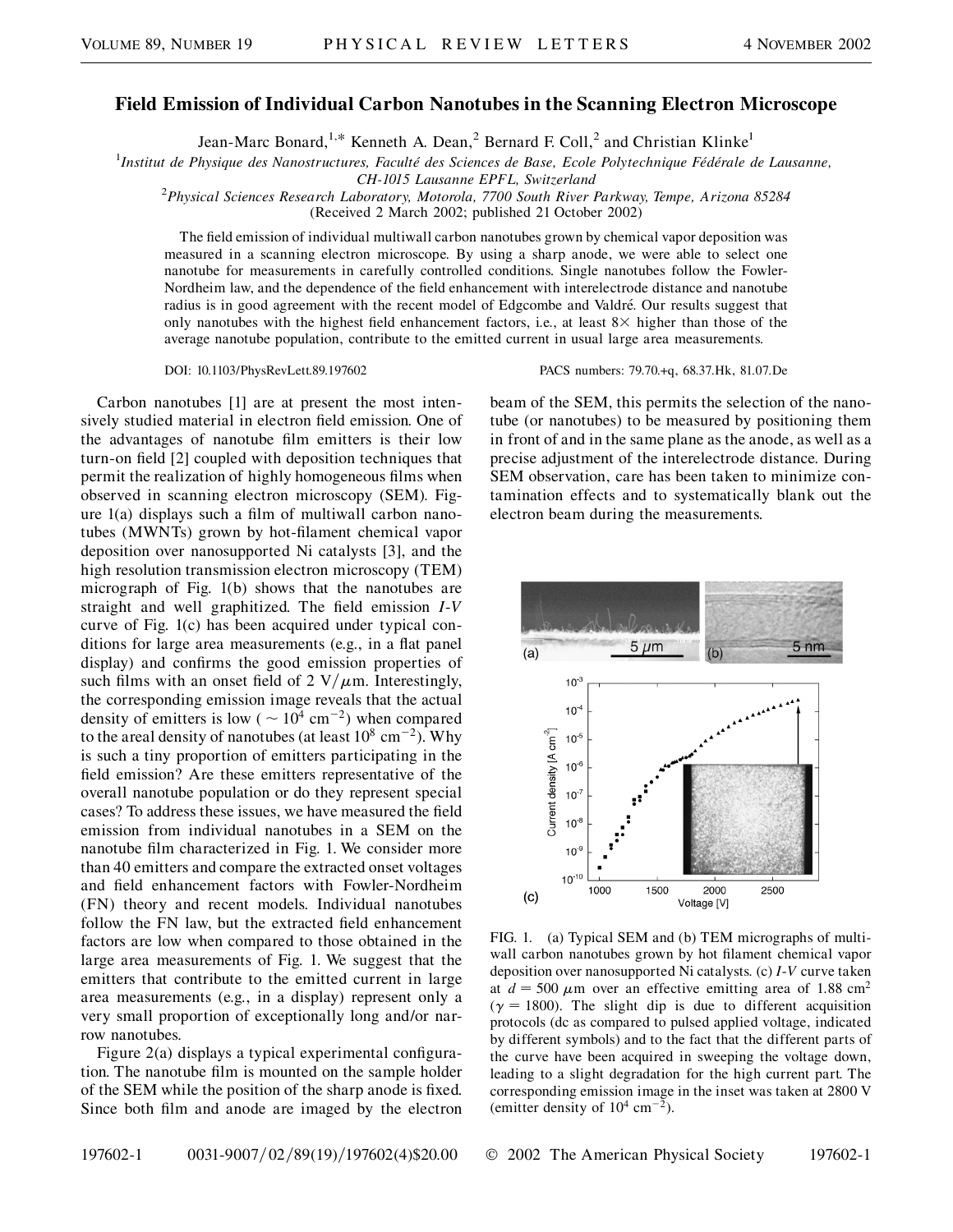## **Field Emission of Individual Carbon Nanotubes in the Scanning Electron Microscope**

Jean-Marc Bonard,<sup>1,\*</sup> Kenneth A. Dean,<sup>2</sup> Bernard F. Coll,<sup>2</sup> and Christian Klinke<sup>1</sup>

<sup>1</sup>Institut de Physique des Nanostructures, Faculté des Sciences de Base, Ecole Polytechnique Fédérale de Lausanne,

*CH-1015 Lausanne EPFL, Switzerland* <sup>2</sup> *Physical Sciences Research Laboratory, Motorola, 7700 South River Parkway, Tempe, Arizona 85284*

(Received 2 March 2002; published 21 October 2002)

The field emission of individual multiwall carbon nanotubes grown by chemical vapor deposition was measured in a scanning electron microscope. By using a sharp anode, we were able to select one nanotube for measurements in carefully controlled conditions. Single nanotubes follow the Fowler-Nordheim law, and the dependence of the field enhancement with interelectrode distance and nanotube radius is in good agreement with the recent model of Edgcombe and Valdré. Our results suggest that only nanotubes with the highest field enhancement factors, i.e., at least  $8\times$  higher than those of the average nanotube population, contribute to the emitted current in usual large area measurements.

Carbon nanotubes [1] are at present the most intensively studied material in electron field emission. One of the advantages of nanotube film emitters is their low turn-on field [2] coupled with deposition techniques that permit the realization of highly homogeneous films when observed in scanning electron microscopy (SEM). Figure 1(a) displays such a film of multiwall carbon nanotubes (MWNTs) grown by hot-filament chemical vapor deposition over nanosupported Ni catalysts [3], and the high resolution transmission electron microscopy (TEM) micrograph of Fig. 1(b) shows that the nanotubes are straight and well graphitized. The field emission *I*-*V* curve of Fig. 1(c) has been acquired under typical conditions for large area measurements (e.g., in a flat panel display) and confirms the good emission properties of such films with an onset field of 2  $V/\mu$ m. Interestingly, the corresponding emission image reveals that the actual density of emitters is low ( $\sim 10^4$  cm<sup>-2</sup>) when compared to the areal density of nanotubes (at least  $10^8 \text{ cm}^{-2}$ ). Why is such a tiny proportion of emitters participating in the field emission? Are these emitters representative of the overall nanotube population or do they represent special cases? To address these issues, we have measured the field emission from individual nanotubes in a SEM on the nanotube film characterized in Fig. 1. We consider more than 40 emitters and compare the extracted onset voltages and field enhancement factors with Fowler-Nordheim (FN) theory and recent models. Individual nanotubes follow the FN law, but the extracted field enhancement factors are low when compared to those obtained in the large area measurements of Fig. 1. We suggest that the emitters that contribute to the emitted current in large area measurements (e.g., in a display) represent only a very small proportion of exceptionally long and/or narrow nanotubes.

Figure 2(a) displays a typical experimental configuration. The nanotube film is mounted on the sample holder of the SEM while the position of the sharp anode is fixed. Since both film and anode are imaged by the electron

DOI: 10.1103/PhysRevLett.89.197602 PACS numbers: 79.70.+q, 68.37.Hk, 81.07.De

beam of the SEM, this permits the selection of the nanotube (or nanotubes) to be measured by positioning them in front of and in the same plane as the anode, as well as a precise adjustment of the interelectrode distance. During SEM observation, care has been taken to minimize contamination effects and to systematically blank out the electron beam during the measurements.



FIG. 1. (a) Typical SEM and (b) TEM micrographs of multiwall carbon nanotubes grown by hot filament chemical vapor deposition over nanosupported Ni catalysts. (c) *I*-*V* curve taken at  $d = 500 \mu m$  over an effective emitting area of 1.88 cm<sup>2</sup>  $(\gamma = 1800)$ . The slight dip is due to different acquisition protocols (dc as compared to pulsed applied voltage, indicated by different symbols) and to the fact that the different parts of the curve have been acquired in sweeping the voltage down, leading to a slight degradation for the high current part. The corresponding emission image in the inset was taken at 2800 V (emitter density of  $10^4$  cm<sup>-2</sup>).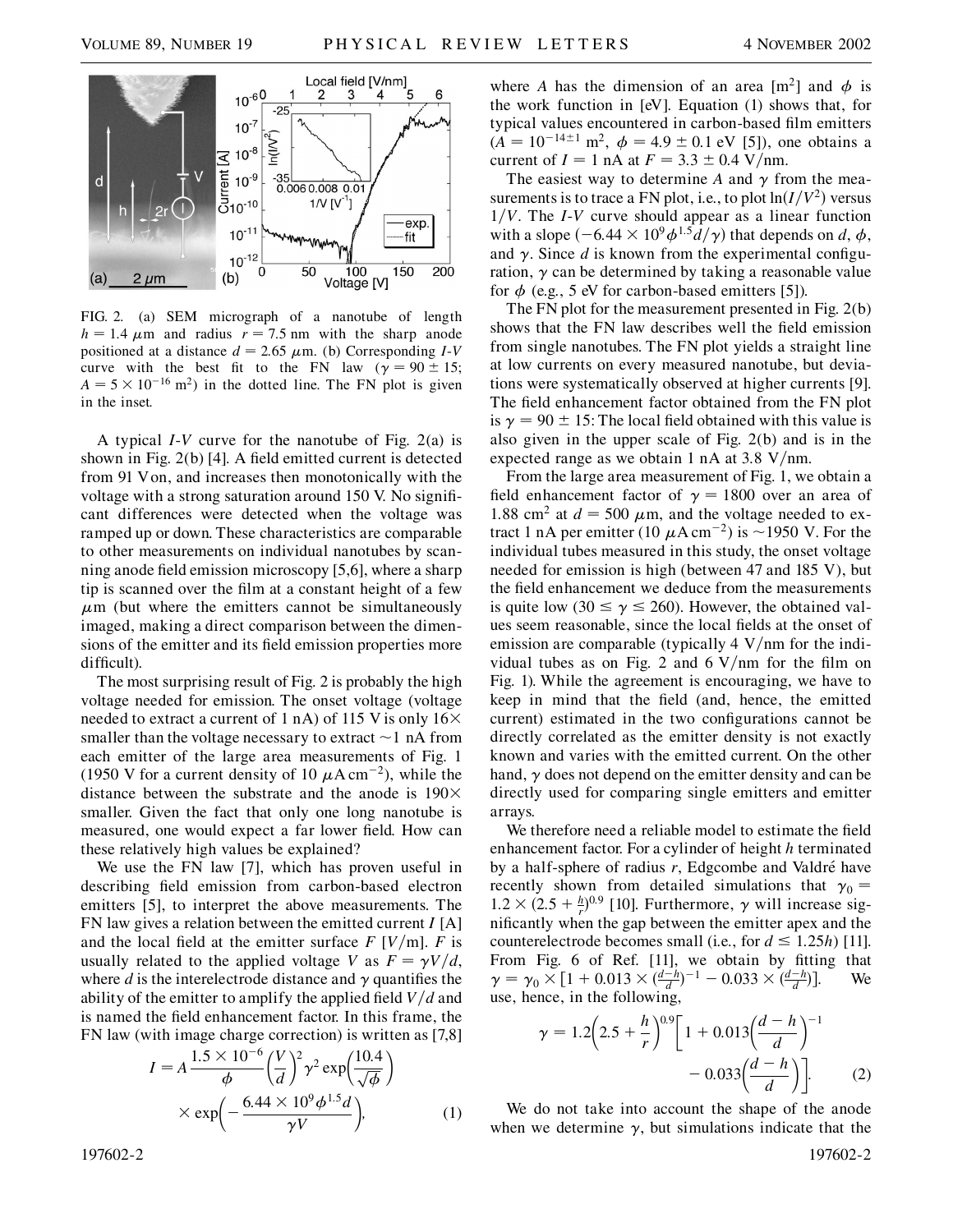

FIG. 2. (a) SEM micrograph of a nanotube of length  $h = 1.4 \mu m$  and radius  $r = 7.5 \text{ nm}$  with the sharp anode positioned at a distance  $d = 2.65 \mu \text{m}$ . (b) Corresponding *I-V* curve with the best fit to the FN law ( $\gamma = 90 \pm 15$ ;  $A = 5 \times 10^{-16}$  m<sup>2</sup>) in the dotted line. The FN plot is given in the inset.

A typical *I*-*V* curve for the nanotube of Fig. 2(a) is shown in Fig. 2(b) [4]. A field emitted current is detected from 91 Von, and increases then monotonically with the voltage with a strong saturation around 150 V. No significant differences were detected when the voltage was ramped up or down. These characteristics are comparable to other measurements on individual nanotubes by scanning anode field emission microscopy [5,6], where a sharp tip is scanned over the film at a constant height of a few  $\mu$ m (but where the emitters cannot be simultaneously imaged, making a direct comparison between the dimensions of the emitter and its field emission properties more difficult).

The most surprising result of Fig. 2 is probably the high voltage needed for emission. The onset voltage (voltage needed to extract a current of 1 nA) of 115 V is only  $16\times$ smaller than the voltage necessary to extract  $\sim$  1 nA from each emitter of the large area measurements of Fig. 1 (1950 V for a current density of 10  $\mu$ A cm<sup>-2</sup>), while the distance between the substrate and the anode is  $190\times$ smaller. Given the fact that only one long nanotube is measured, one would expect a far lower field. How can these relatively high values be explained?

We use the FN law [7], which has proven useful in describing field emission from carbon-based electron emitters [5], to interpret the above measurements. The FN law gives a relation between the emitted current *I* [A] and the local field at the emitter surface  $F[V/m]$ .  $F$  is usually related to the applied voltage *V* as  $F = \gamma V/d$ , where  $d$  is the interelectrode distance and  $\gamma$  quantifies the ability of the emitter to amplify the applied field  $V/d$  and is named the field enhancement factor. In this frame, the FN law (with image charge correction) is written as [7,8]

$$
I = A \frac{1.5 \times 10^{-6}}{\phi} \left(\frac{V}{d}\right)^2 \gamma^2 \exp\left(\frac{10.4}{\sqrt{\phi}}\right)
$$

$$
\times \exp\left(-\frac{6.44 \times 10^9 \phi^{1.5} d}{\gamma V}\right), \tag{1}
$$

where *A* has the dimension of an area  $[m^2]$  and  $\phi$  is the work function in [eV]. Equation (1) shows that, for typical values encountered in carbon-based film emitters  $(A = 10^{-14 \pm 1} \text{ m}^2, \ \phi = 4.9 \pm 0.1 \text{ eV}$  [5]), one obtains a current of  $I = 1$  nA at  $F = 3.3 \pm 0.4$  V/nm.

The easiest way to determine A and  $\gamma$  from the measurements is to trace a FN plot, i.e., to plot  $ln(I/V^2)$  versus  $1/V$ . The *I*-*V* curve should appear as a linear function with a slope  $(-6.44 \times 10^9 \phi^{1.5} d/\gamma)$  that depends on *d*,  $\phi$ , and  $\gamma$ . Since *d* is known from the experimental configuration,  $\gamma$  can be determined by taking a reasonable value for  $\phi$  (e.g., 5 eV for carbon-based emitters [5]).

The FN plot for the measurement presented in Fig. 2(b) shows that the FN law describes well the field emission from single nanotubes. The FN plot yields a straight line at low currents on every measured nanotube, but deviations were systematically observed at higher currents [9]. The field enhancement factor obtained from the FN plot is  $\gamma = 90 \pm 15$ : The local field obtained with this value is also given in the upper scale of Fig. 2(b) and is in the expected range as we obtain 1 nA at 3.8  $V/mm$ .

From the large area measurement of Fig. 1, we obtain a field enhancement factor of  $\gamma = 1800$  over an area of 1.88 cm<sup>2</sup> at  $d = 500 \mu$ m, and the voltage needed to extract 1 nA per emitter (10  $\mu$ A cm<sup>-2</sup>) is ~1950 V. For the individual tubes measured in this study, the onset voltage needed for emission is high (between 47 and 185 V), but the field enhancement we deduce from the measurements is quite low (30  $\leq \gamma \leq 260$ ). However, the obtained values seem reasonable, since the local fields at the onset of emission are comparable (typically 4 V/nm for the individual tubes as on Fig. 2 and  $6 \text{ V/nm}$  for the film on Fig. 1). While the agreement is encouraging, we have to keep in mind that the field (and, hence, the emitted current) estimated in the two configurations cannot be directly correlated as the emitter density is not exactly known and varies with the emitted current. On the other hand,  $\gamma$  does not depend on the emitter density and can be directly used for comparing single emitters and emitter arrays.

We therefore need a reliable model to estimate the field enhancement factor. For a cylinder of height *h* terminated by a half-sphere of radius *r*, Edgcombe and Valdré have recently shown from detailed simulations that  $\gamma_0 =$  $1.2 \times (2.5 + \frac{h}{r})^{0.9}$  [10]. Furthermore,  $\gamma$  will increase significantly when the gap between the emitter apex and the counterelectrode becomes small (i.e., for  $d \leq 1.25h$ ) [11]. From Fig. 6 of Ref. [11], we obtain by fitting that  $\gamma = \gamma_0 \times [1 + 0.013 \times \left(\frac{d-h}{d}\right)^{-1} - 0.033 \times \left(\frac{d-h}{d}\right)].$  We use, hence, in the following,

$$
\gamma = 1.2\left(2.5 + \frac{h}{r}\right)^{0.9} \left[1 + 0.013\left(\frac{d-h}{d}\right)^{-1} - 0.033\left(\frac{d-h}{d}\right)\right].
$$
 (2)

We do not take into account the shape of the anode when we determine  $\gamma$ , but simulations indicate that the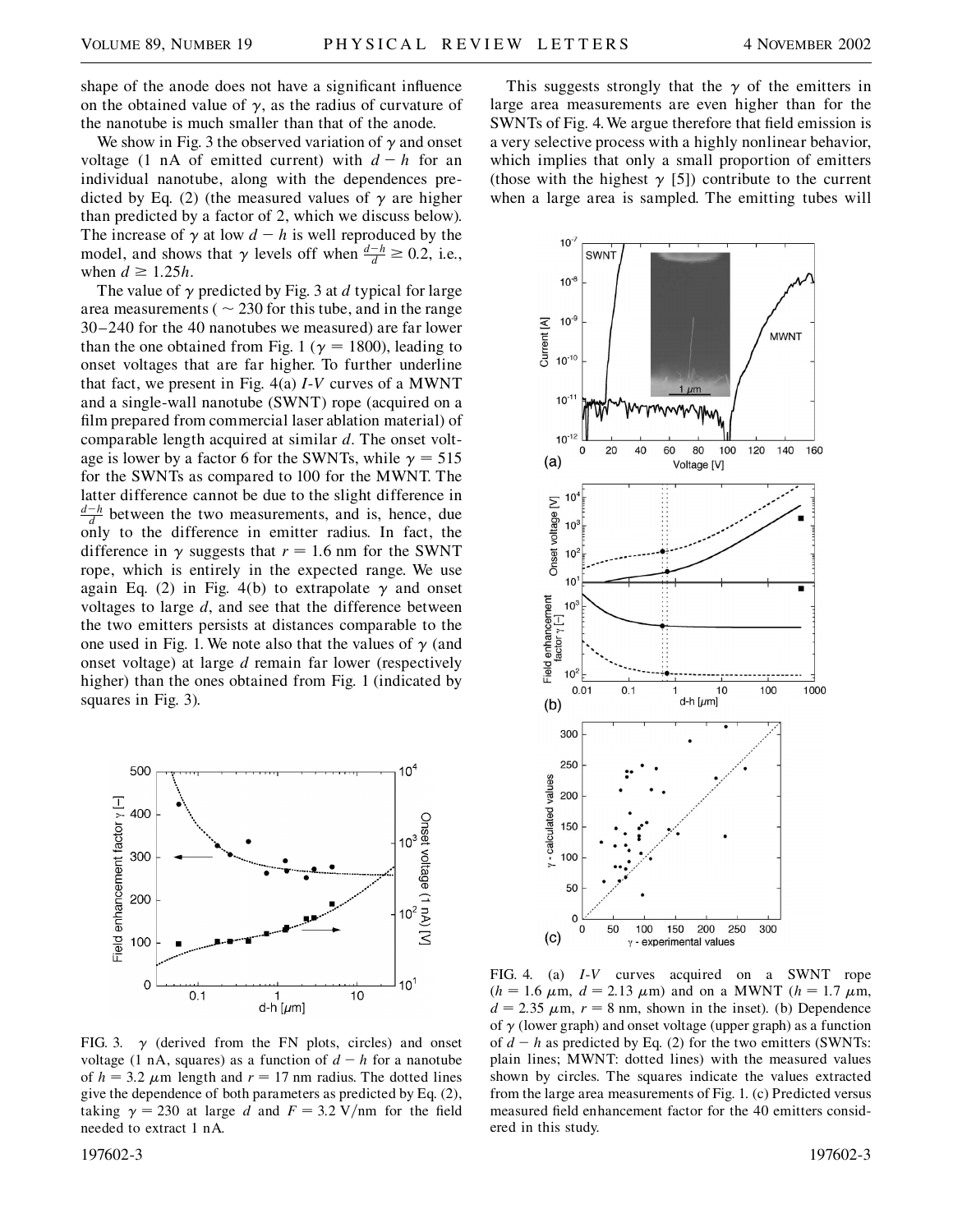shape of the anode does not have a significant influence on the obtained value of  $\gamma$ , as the radius of curvature of the nanotube is much smaller than that of the anode.

We show in Fig. 3 the observed variation of  $\gamma$  and onset voltage (1 nA of emitted current) with  $d - h$  for an individual nanotube, along with the dependences predicted by Eq. (2) (the measured values of  $\gamma$  are higher than predicted by a factor of 2, which we discuss below). The increase of  $\gamma$  at low  $d - h$  is well reproduced by the model, and shows that  $\gamma$  levels off when  $\frac{d-h}{d} \ge 0.2$ , i.e., when  $d \geq 1.25h$ .

The value of  $\gamma$  predicted by Fig. 3 at *d* typical for large area measurements ( $\sim$  230 for this tube, and in the range 30–240 for the 40 nanotubes we measured) are far lower than the one obtained from Fig. 1 ( $\gamma$  = 1800), leading to onset voltages that are far higher. To further underline that fact, we present in Fig. 4(a) *I*-*V* curves of a MWNT and a single-wall nanotube (SWNT) rope (acquired on a film prepared from commercial laser ablation material) of comparable length acquired at similar *d*. The onset voltage is lower by a factor 6 for the SWNTs, while  $\gamma = 515$ for the SWNTs as compared to 100 for the MWNT. The latter difference cannot be due to the slight difference in  $\frac{d-h}{d}$  between the two measurements, and is, hence, due only to the difference in emitter radius. In fact, the difference in  $\gamma$  suggests that  $r = 1.6$  nm for the SWNT rope, which is entirely in the expected range. We use again Eq. (2) in Fig. 4(b) to extrapolate  $\gamma$  and onset voltages to large *d*, and see that the difference between the two emitters persists at distances comparable to the one used in Fig. 1. We note also that the values of  $\gamma$  (and onset voltage) at large *d* remain far lower (respectively higher) than the ones obtained from Fig. 1 (indicated by squares in Fig. 3).



FIG. 3.  $\gamma$  (derived from the FN plots, circles) and onset voltage (1 nA, squares) as a function of  $d - h$  for a nanotube of  $h = 3.2 \mu m$  length and  $r = 17 \text{ nm}$  radius. The dotted lines give the dependence of both parameters as predicted by Eq. (2), taking  $\gamma = 230$  at large *d* and  $F = 3.2 \text{ V/mm}$  for the field needed to extract 1 nA.

197602-3 197602-3

This suggests strongly that the  $\gamma$  of the emitters in large area measurements are even higher than for the SWNTs of Fig. 4. We argue therefore that field emission is a very selective process with a highly nonlinear behavior, which implies that only a small proportion of emitters (those with the highest  $\gamma$  [5]) contribute to the current when a large area is sampled. The emitting tubes will



FIG. 4. (a) *I*-*V* curves acquired on a SWNT rope  $(h = 1.6 \mu \text{m}, d = 2.13 \mu \text{m})$  and on a MWNT  $(h = 1.7 \mu \text{m},$  $d = 2.35 \mu \text{m}$ ,  $r = 8 \text{ nm}$ , shown in the inset). (b) Dependence of  $\gamma$  (lower graph) and onset voltage (upper graph) as a function of  $d - h$  as predicted by Eq. (2) for the two emitters (SWNTs: plain lines; MWNT: dotted lines) with the measured values shown by circles. The squares indicate the values extracted from the large area measurements of Fig. 1. (c) Predicted versus measured field enhancement factor for the 40 emitters considered in this study.